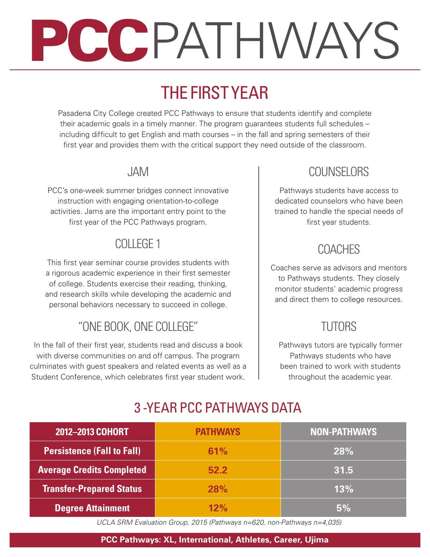# PCCPATHWAYS

# THE FIRST YEAR

Pasadena City College created PCC Pathways to ensure that students identify and complete their academic goals in a timely manner. The program guarantees students full schedules – including difficult to get English and math courses – in the fall and spring semesters of their first year and provides them with the critical support they need outside of the classroom.

### JAM

PCC's one-week summer bridges connect innovative instruction with engaging orientation-to-college activities. Jams are the important entry point to the first year of the PCC Pathways program.

# COLLEGE 1

This first year seminar course provides students with a rigorous academic experience in their first semester of college. Students exercise their reading, thinking, and research skills while developing the academic and personal behaviors necessary to succeed in college.

# "ONE BOOK, ONE COLLEGE"

In the fall of their first year, students read and discuss a book with diverse communities on and off campus. The program culminates with guest speakers and related events as well as a Student Conference, which celebrates first year student work.

## **COUNSELORS**

Pathways students have access to dedicated counselors who have been trained to handle the special needs of first year students.

# COACHES

Coaches serve as advisors and mentors to Pathways students. They closely monitor students' academic progress and direct them to college resources.

# TUTORS

Pathways tutors are typically former Pathways students who have been trained to work with students throughout the academic year.

# 3 -YEAR PCC PATHWAYS DATA

| 2012-2013 COHORT                  | <b>PATHWAYS</b> | <b>NON-PATHWAYS</b> |
|-----------------------------------|-----------------|---------------------|
| <b>Persistence (Fall to Fall)</b> | 61%             | 28%                 |
| <b>Average Credits Completed</b>  | 52.2            | 31.5                |
| <b>Transfer-Prepared Status</b>   | 28%             | 13%                 |
| <b>Degree Attainment</b>          | 12%             | 5%                  |

 *UCLA SRM Evaluation Group, 2015 (Pathways n=620, non-Pathways n=4,035)*

#### **PCC Pathways: XL, International, Athletes, Career, Ujima**